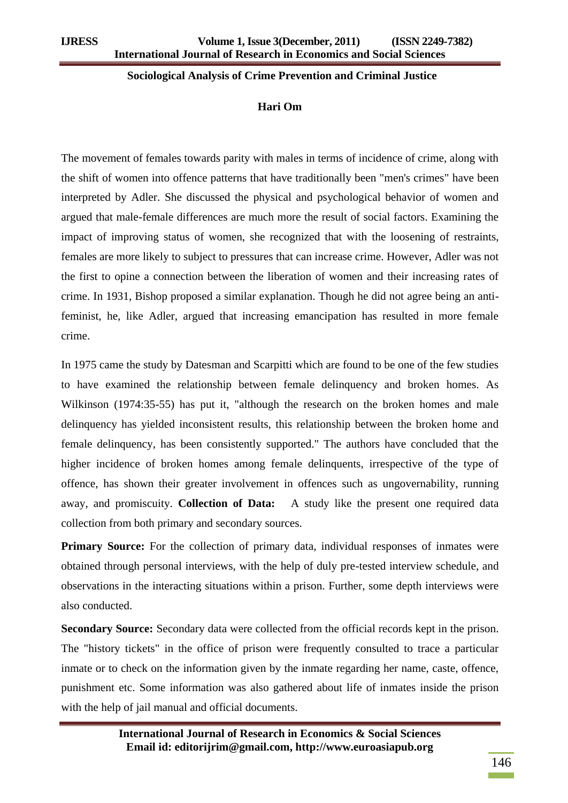### **Sociological Analysis of Crime Prevention and Criminal Justice**

#### **Hari Om**

The movement of females towards parity with males in terms of incidence of crime, along with the shift of women into offence patterns that have traditionally been "men's crimes" have been interpreted by Adler. She discussed the physical and psychological behavior of women and argued that male-female differences are much more the result of social factors. Examining the impact of improving status of women, she recognized that with the loosening of restraints, females are more likely to subject to pressures that can increase crime. However, Adler was not the first to opine a connection between the liberation of women and their increasing rates of crime. In 1931, Bishop proposed a similar explanation. Though he did not agree being an antifeminist, he, like Adler, argued that increasing emancipation has resulted in more female crime.

In 1975 came the study by Datesman and Scarpitti which are found to be one of the few studies to have examined the relationship between female delinquency and broken homes. As Wilkinson (1974:35-55) has put it, "although the research on the broken homes and male delinquency has yielded inconsistent results, this relationship between the broken home and female delinquency, has been consistently supported." The authors have concluded that the higher incidence of broken homes among female delinquents, irrespective of the type of offence, has shown their greater involvement in offences such as ungovernability, running away, and promiscuity. **Collection of Data:** A study like the present one required data collection from both primary and secondary sources.

**Primary Source:** For the collection of primary data, individual responses of inmates were obtained through personal interviews, with the help of duly pre-tested interview schedule, and observations in the interacting situations within a prison. Further, some depth interviews were also conducted.

**Secondary Source:** Secondary data were collected from the official records kept in the prison. The "history tickets" in the office of prison were frequently consulted to trace a particular inmate or to check on the information given by the inmate regarding her name, caste, offence, punishment etc. Some information was also gathered about life of inmates inside the prison with the help of jail manual and official documents.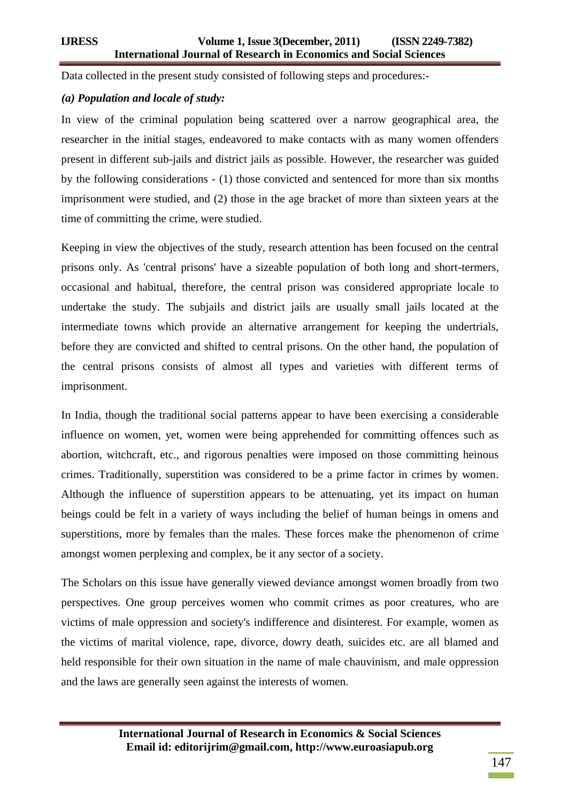Data collected in the present study consisted of following steps and procedures:-

# *(a) Population and locale of study:*

In view of the criminal population being scattered over a narrow geographical area, the researcher in the initial stages, endeavored to make contacts with as many women offenders present in different sub-jails and district jails as possible. However, the researcher was guided by the following considerations - (1) those convicted and sentenced for more than six months imprisonment were studied, and (2) those in the age bracket of more than sixteen years at the time of committing the crime, were studied.

Keeping in view the objectives of the study, research attention has been focused on the central prisons only. As 'central prisons' have a sizeable population of both long and short-termers, occasional and habitual, therefore, the central prison was considered appropriate locale to undertake the study. The subjails and district jails are usually small jails located at the intermediate towns which provide an alternative arrangement for keeping the undertrials, before they are convicted and shifted to central prisons. On the other hand, the population of the central prisons consists of almost all types and varieties with different terms of imprisonment.

In India, though the traditional social patterns appear to have been exercising a considerable influence on women, yet, women were being apprehended for committing offences such as abortion, witchcraft, etc., and rigorous penalties were imposed on those committing heinous crimes. Traditionally, superstition was considered to be a prime factor in crimes by women. Although the influence of superstition appears to be attenuating, yet its impact on human beings could be felt in a variety of ways including the belief of human beings in omens and superstitions, more by females than the males. These forces make the phenomenon of crime amongst women perplexing and complex, be it any sector of a society.

The Scholars on this issue have generally viewed deviance amongst women broadly from two perspectives. One group perceives women who commit crimes as poor creatures, who are victims of male oppression and society's indifference and disinterest. For example, women as the victims of marital violence, rape, divorce, dowry death, suicides etc. are all blamed and held responsible for their own situation in the name of male chauvinism, and male oppression and the laws are generally seen against the interests of women.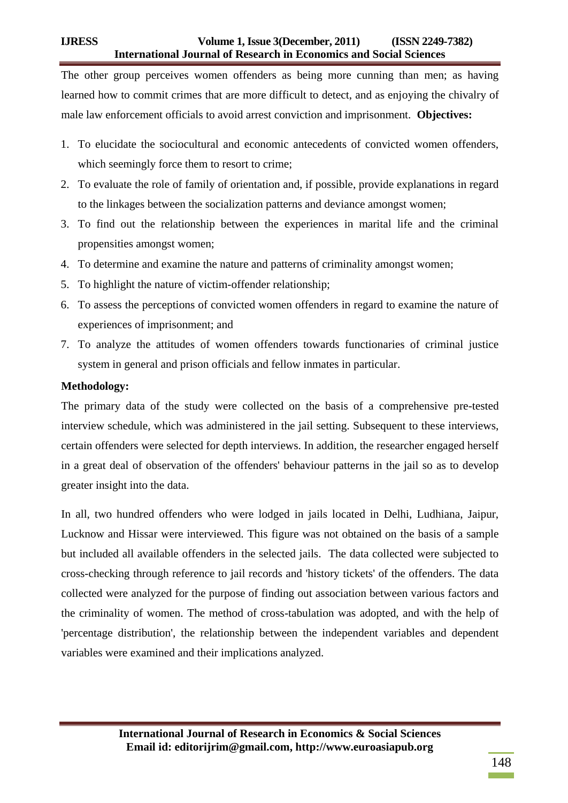The other group perceives women offenders as being more cunning than men; as having learned how to commit crimes that are more difficult to detect, and as enjoying the chivalry of male law enforcement officials to avoid arrest conviction and imprisonment. **Objectives:** 

- 1. To elucidate the sociocultural and economic antecedents of convicted women offenders, which seemingly force them to resort to crime;
- 2. To evaluate the role of family of orientation and, if possible, provide explanations in regard to the linkages between the socialization patterns and deviance amongst women;
- 3. To find out the relationship between the experiences in marital life and the criminal propensities amongst women;
- 4. To determine and examine the nature and patterns of criminality amongst women;
- 5. To highlight the nature of victim-offender relationship;
- 6. To assess the perceptions of convicted women offenders in regard to examine the nature of experiences of imprisonment; and
- 7. To analyze the attitudes of women offenders towards functionaries of criminal justice system in general and prison officials and fellow inmates in particular.

# **Methodology:**

The primary data of the study were collected on the basis of a comprehensive pre-tested interview schedule, which was administered in the jail setting. Subsequent to these interviews, certain offenders were selected for depth interviews. In addition, the researcher engaged herself in a great deal of observation of the offenders' behaviour patterns in the jail so as to develop greater insight into the data.

In all, two hundred offenders who were lodged in jails located in Delhi, Ludhiana, Jaipur, Lucknow and Hissar were interviewed. This figure was not obtained on the basis of a sample but included all available offenders in the selected jails. The data collected were subjected to cross-checking through reference to jail records and 'history tickets' of the offenders. The data collected were analyzed for the purpose of finding out association between various factors and the criminality of women. The method of cross-tabulation was adopted, and with the help of 'percentage distribution', the relationship between the independent variables and dependent variables were examined and their implications analyzed.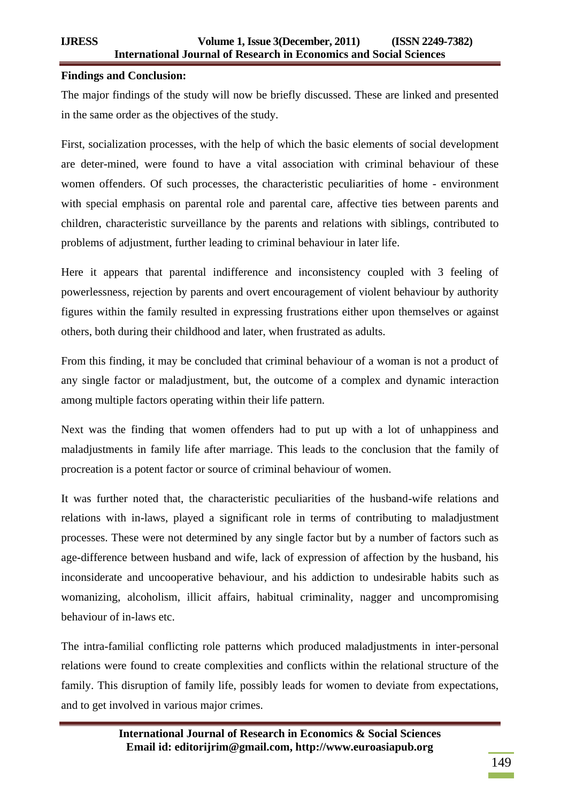## **Findings and Conclusion:**

The major findings of the study will now be briefly discussed. These are linked and presented in the same order as the objectives of the study.

First, socialization processes, with the help of which the basic elements of social development are deter-mined, were found to have a vital association with criminal behaviour of these women offenders. Of such processes, the characteristic peculiarities of home - environment with special emphasis on parental role and parental care, affective ties between parents and children, characteristic surveillance by the parents and relations with siblings, contributed to problems of adjustment, further leading to criminal behaviour in later life.

Here it appears that parental indifference and inconsistency coupled with 3 feeling of powerlessness, rejection by parents and overt encouragement of violent behaviour by authority figures within the family resulted in expressing frustrations either upon themselves or against others, both during their childhood and later, when frustrated as adults.

From this finding, it may be concluded that criminal behaviour of a woman is not a product of any single factor or maladjustment, but, the outcome of a complex and dynamic interaction among multiple factors operating within their life pattern.

Next was the finding that women offenders had to put up with a lot of unhappiness and maladjustments in family life after marriage. This leads to the conclusion that the family of procreation is a potent factor or source of criminal behaviour of women.

It was further noted that, the characteristic peculiarities of the husband-wife relations and relations with in-laws, played a significant role in terms of contributing to maladjustment processes. These were not determined by any single factor but by a number of factors such as age-difference between husband and wife, lack of expression of affection by the husband, his inconsiderate and uncooperative behaviour, and his addiction to undesirable habits such as womanizing, alcoholism, illicit affairs, habitual criminality, nagger and uncompromising behaviour of in-laws etc.

The intra-familial conflicting role patterns which produced maladjustments in inter-personal relations were found to create complexities and conflicts within the relational structure of the family. This disruption of family life, possibly leads for women to deviate from expectations, and to get involved in various major crimes.

149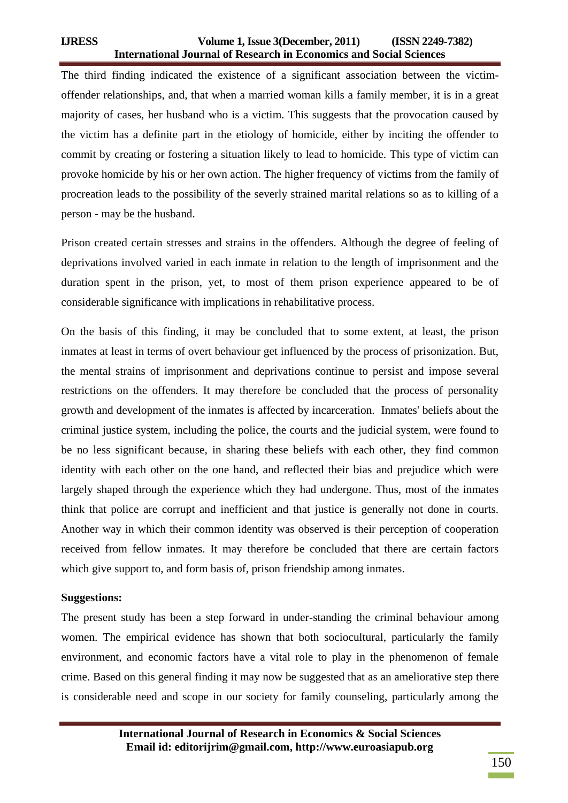# **IJRESS Volume 1, Issue 3(December, 2011) (ISSN 2249-7382) International Journal of Research in Economics and Social Sciences**

The third finding indicated the existence of a significant association between the victimoffender relationships, and, that when a married woman kills a family member, it is in a great majority of cases, her husband who is a victim. This suggests that the provocation caused by the victim has a definite part in the etiology of homicide, either by inciting the offender to commit by creating or fostering a situation likely to lead to homicide. This type of victim can provoke homicide by his or her own action. The higher frequency of victims from the family of procreation leads to the possibility of the severly strained marital relations so as to killing of a person - may be the husband.

Prison created certain stresses and strains in the offenders. Although the degree of feeling of deprivations involved varied in each inmate in relation to the length of imprisonment and the duration spent in the prison, yet, to most of them prison experience appeared to be of considerable significance with implications in rehabilitative process.

On the basis of this finding, it may be concluded that to some extent, at least, the prison inmates at least in terms of overt behaviour get influenced by the process of prisonization. But, the mental strains of imprisonment and deprivations continue to persist and impose several restrictions on the offenders. It may therefore be concluded that the process of personality growth and development of the inmates is affected by incarceration. Inmates' beliefs about the criminal justice system, including the police, the courts and the judicial system, were found to be no less significant because, in sharing these beliefs with each other, they find common identity with each other on the one hand, and reflected their bias and prejudice which were largely shaped through the experience which they had undergone. Thus, most of the inmates think that police are corrupt and inefficient and that justice is generally not done in courts. Another way in which their common identity was observed is their perception of cooperation received from fellow inmates. It may therefore be concluded that there are certain factors which give support to, and form basis of, prison friendship among inmates.

### **Suggestions:**

The present study has been a step forward in under-standing the criminal behaviour among women. The empirical evidence has shown that both sociocultural, particularly the family environment, and economic factors have a vital role to play in the phenomenon of female crime. Based on this general finding it may now be suggested that as an ameliorative step there is considerable need and scope in our society for family counseling, particularly among the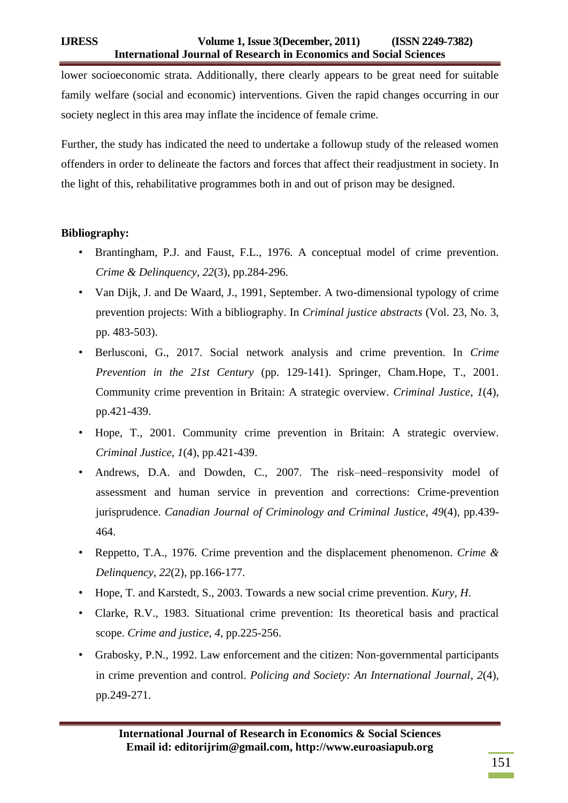lower socioeconomic strata. Additionally, there clearly appears to be great need for suitable family welfare (social and economic) interventions. Given the rapid changes occurring in our society neglect in this area may inflate the incidence of female crime.

Further, the study has indicated the need to undertake a followup study of the released women offenders in order to delineate the factors and forces that affect their readjustment in society. In the light of this, rehabilitative programmes both in and out of prison may be designed.

# **Bibliography:**

- Brantingham, P.J. and Faust, F.L., 1976. A conceptual model of crime prevention. *Crime & Delinquency*, *22*(3), pp.284-296.
- Van Dijk, J. and De Waard, J., 1991, September. A two-dimensional typology of crime prevention projects: With a bibliography. In *Criminal justice abstracts* (Vol. 23, No. 3, pp. 483-503).
- Berlusconi, G., 2017. Social network analysis and crime prevention. In *Crime Prevention in the 21st Century* (pp. 129-141). Springer, Cham.Hope, T., 2001. Community crime prevention in Britain: A strategic overview. *Criminal Justice*, *1*(4), pp.421-439.
- Hope, T., 2001. Community crime prevention in Britain: A strategic overview. *Criminal Justice*, *1*(4), pp.421-439.
- Andrews, D.A. and Dowden, C., 2007. The risk–need–responsivity model of assessment and human service in prevention and corrections: Crime-prevention jurisprudence. *Canadian Journal of Criminology and Criminal Justice*, *49*(4), pp.439- 464.
- Reppetto, T.A., 1976. Crime prevention and the displacement phenomenon. *Crime & Delinquency*, *22*(2), pp.166-177.
- Hope, T. and Karstedt, S., 2003. Towards a new social crime prevention. *Kury, H*.
- Clarke, R.V., 1983. Situational crime prevention: Its theoretical basis and practical scope. *Crime and justice*, *4*, pp.225-256.
- Grabosky, P.N., 1992. Law enforcement and the citizen: Non‐governmental participants in crime prevention and control. *Policing and Society: An International Journal*, *2*(4), pp.249-271.